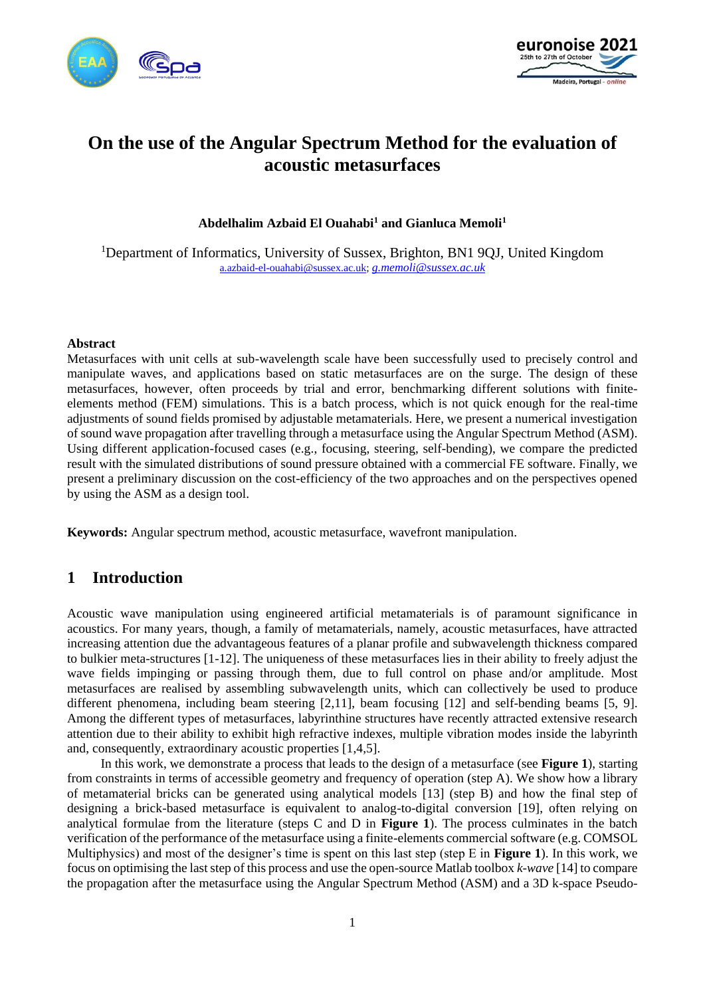



# **On the use of the Angular Spectrum Method for the evaluation of acoustic metasurfaces**

**Abdelhalim Azbaid El Ouahabi<sup>1</sup> and Gianluca Memoli<sup>1</sup>**

<sup>1</sup>Department of Informatics, University of Sussex, Brighton, BN1 9QJ, United Kingdom [a.azbaid-el-ouahabi@sussex.ac.uk;](mailto:a.azbaid-el-ouahabi@sussex.ac.uk) *[g.memoli@sussex.ac.uk](mailto:g.memoli@sussex.ac.uk)*

#### **Abstract**

Metasurfaces with unit cells at sub-wavelength scale have been successfully used to precisely control and manipulate waves, and applications based on static metasurfaces are on the surge. The design of these metasurfaces, however, often proceeds by trial and error, benchmarking different solutions with finiteelements method (FEM) simulations. This is a batch process, which is not quick enough for the real-time adjustments of sound fields promised by adjustable metamaterials. Here, we present a numerical investigation of sound wave propagation after travelling through a metasurface using the Angular Spectrum Method (ASM). Using different application-focused cases (e.g., focusing, steering, self-bending), we compare the predicted result with the simulated distributions of sound pressure obtained with a commercial FE software. Finally, we present a preliminary discussion on the cost-efficiency of the two approaches and on the perspectives opened by using the ASM as a design tool.

**Keywords:** Angular spectrum method, acoustic metasurface, wavefront manipulation.

# **1 Introduction**

Acoustic wave manipulation using engineered artificial metamaterials is of paramount significance in acoustics. For many years, though, a family of metamaterials, namely, acoustic metasurfaces, have attracted increasing attention due the advantageous features of a planar profile and subwavelength thickness compared to bulkier meta-structures [1-12]. The uniqueness of these metasurfaces lies in their ability to freely adjust the wave fields impinging or passing through them, due to full control on phase and/or amplitude. Most metasurfaces are realised by assembling subwavelength units, which can collectively be used to produce different phenomena, including beam steering [2,11], beam focusing [12] and self-bending beams [5, 9]. Among the different types of metasurfaces, labyrinthine structures have recently attracted extensive research attention due to their ability to exhibit high refractive indexes, multiple vibration modes inside the labyrinth and, consequently, extraordinary acoustic properties [1,4,5].

In this work, we demonstrate a process that leads to the design of a metasurface (see **[Figure 1](#page-1-0)**), starting from constraints in terms of accessible geometry and frequency of operation (step A). We show how a library of metamaterial bricks can be generated using analytical models [13] (step B) and how the final step of designing a brick-based metasurface is equivalent to analog-to-digital conversion [19], often relying on analytical formulae from the literature (steps C and D in **[Figure 1](#page-1-0)**). The process culminates in the batch verification of the performance of the metasurface using a finite-elements commercial software (e.g. COMSOL Multiphysics) and most of the designer's time is spent on this last step (step E in **[Figure 1](#page-1-0)**). In this work, we focus on optimising the last step of this process and use the open-source Matlab toolbox *k-wave* [14] to compare the propagation after the metasurface using the Angular Spectrum Method (ASM) and a 3D k-space Pseudo-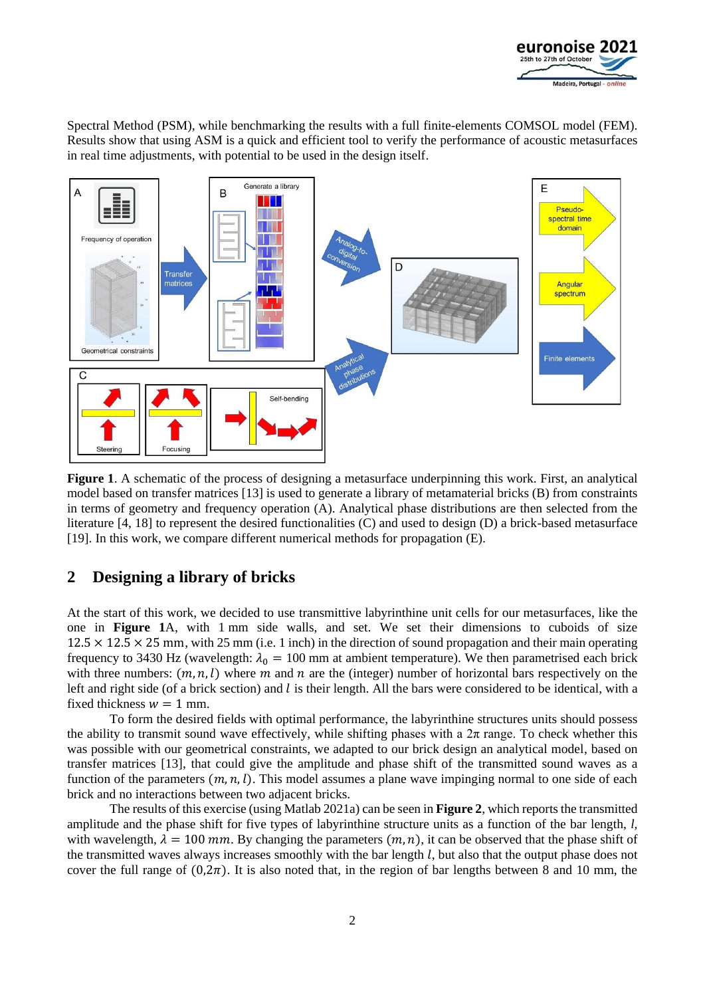

Spectral Method (PSM), while benchmarking the results with a full finite-elements COMSOL model (FEM). Results show that using ASM is a quick and efficient tool to verify the performance of acoustic metasurfaces in real time adjustments, with potential to be used in the design itself.



<span id="page-1-0"></span>**Figure 1**. A schematic of the process of designing a metasurface underpinning this work. First, an analytical model based on transfer matrices [13] is used to generate a library of metamaterial bricks (B) from constraints in terms of geometry and frequency operation (A). Analytical phase distributions are then selected from the literature [4, 18] to represent the desired functionalities (C) and used to design (D) a brick-based metasurface [19]. In this work, we compare different numerical methods for propagation (E).

# **2 Designing a library of bricks**

At the start of this work, we decided to use transmittive labyrinthine unit cells for our metasurfaces, like the one in **[Figure 1](#page-1-0)**A, with 1 mm side walls, and set. We set their dimensions to cuboids of size  $12.5 \times 12.5 \times 25$  mm, with 25 mm (i.e. 1 inch) in the direction of sound propagation and their main operating frequency to 3430 Hz (wavelength:  $\lambda_0 = 100$  mm at ambient temperature). We then parametrised each brick with three numbers:  $(m, n, l)$  where m and n are the (integer) number of horizontal bars respectively on the left and right side (of a brick section) and  $l$  is their length. All the bars were considered to be identical, with a fixed thickness  $w = 1$  mm.

To form the desired fields with optimal performance, the labyrinthine structures units should possess the ability to transmit sound wave effectively, while shifting phases with a  $2\pi$  range. To check whether this was possible with our geometrical constraints, we adapted to our brick design an analytical model, based on transfer matrices [13], that could give the amplitude and phase shift of the transmitted sound waves as a function of the parameters  $(m, n, l)$ . This model assumes a plane wave impinging normal to one side of each brick and no interactions between two adjacent bricks.

The results of this exercise (using Matlab 2021a) can be seen in **[Figure 2](#page-2-0)**, which reports the transmitted amplitude and the phase shift for five types of labyrinthine structure units as a function of the bar length, *l,* with wavelength,  $\lambda = 100$  mm. By changing the parameters  $(m, n)$ , it can be observed that the phase shift of the transmitted waves always increases smoothly with the bar length  $l$ , but also that the output phase does not cover the full range of  $(0,2\pi)$ . It is also noted that, in the region of bar lengths between 8 and 10 mm, the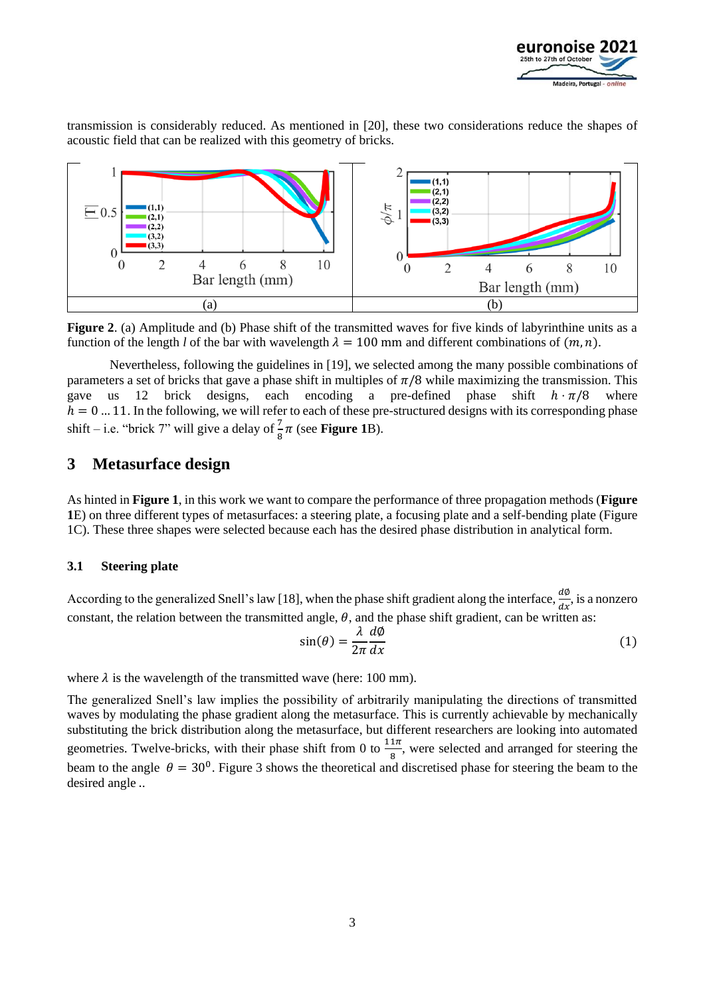

transmission is considerably reduced. As mentioned in [20], these two considerations reduce the shapes of acoustic field that can be realized with this geometry of bricks.



<span id="page-2-0"></span>**Figure 2.** (a) Amplitude and (b) Phase shift of the transmitted waves for five kinds of labyrinthine units as a function of the length *l* of the bar with wavelength  $\lambda = 100$  mm and different combinations of  $(m, n)$ .

Nevertheless, following the guidelines in [19], we selected among the many possible combinations of parameters a set of bricks that gave a phase shift in multiples of  $\pi/8$  while maximizing the transmission. This gave us 12 brick designs, each encoding a pre-defined phase shift  $h \cdot \pi/8$  where  $h = 0$  ... 11. In the following, we will refer to each of these pre-structured designs with its corresponding phase shift – i.e. "brick 7" will give a delay of  $\frac{7}{8}\pi$  (see **[Figure 1](#page-1-0)**B).

# **3 Metasurface design**

As hinted in **[Figure 1](#page-1-0)**, in this work we want to compare the performance of three propagation methods (**[Figure](#page-1-0)  [1](#page-1-0)**E) on three different types of metasurfaces: a steering plate, a focusing plate and a self-bending plate (Figure 1C). These three shapes were selected because each has the desired phase distribution in analytical form.

#### **3.1 Steering plate**

According to the generalized Snell's law [18], when the phase shift gradient along the interface,  $\frac{d\phi}{dx}$ , is a nonzero constant, the relation between the transmitted angle,  $\theta$ , and the phase shift gradient, can be written as:

$$
\sin(\theta) = \frac{\lambda}{2\pi} \frac{d\phi}{dx} \tag{1}
$$

where  $\lambda$  is the wavelength of the transmitted wave (here: 100 mm).

The generalized Snell's law implies the possibility of arbitrarily manipulating the directions of transmitted waves by modulating the phase gradient along the metasurface. This is currently achievable by mechanically substituting the brick distribution along the metasurface, but different researchers are looking into automated geometries. Twelve-bricks, with their phase shift from 0 to  $\frac{11\pi}{8}$ , were selected and arranged for steering the beam to the angle  $\theta = 30^0$ . Figure 3 shows the theoretical and discretised phase for steering the beam to the desired angle ..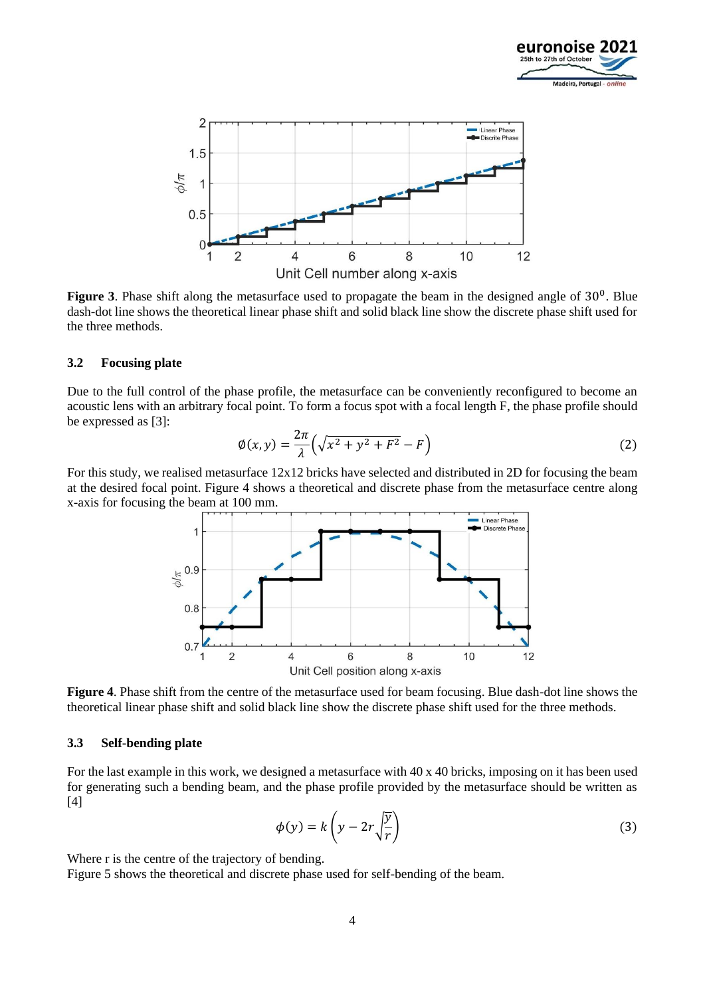



Figure 3. Phase shift along the metasurface used to propagate the beam in the designed angle of 30<sup>0</sup>. Blue dash-dot line shows the theoretical linear phase shift and solid black line show the discrete phase shift used for the three methods.

#### **3.2 Focusing plate**

Due to the full control of the phase profile, the metasurface can be conveniently reconfigured to become an acoustic lens with an arbitrary focal point. To form a focus spot with a focal length F, the phase profile should be expressed as [3]:

$$
\varphi(x,y) = \frac{2\pi}{\lambda} \left( \sqrt{x^2 + y^2 + F^2} - F \right) \tag{2}
$$

For this study, we realised metasurface 12x12 bricks have selected and distributed in 2D for focusing the beam at the desired focal point. Figure 4 shows a theoretical and discrete phase from the metasurface centre along x-axis for focusing the beam at 100 mm.



**Figure 4**. Phase shift from the centre of the metasurface used for beam focusing. Blue dash-dot line shows the theoretical linear phase shift and solid black line show the discrete phase shift used for the three methods.

#### **3.3 Self-bending plate**

For the last example in this work, we designed a metasurface with 40 x 40 bricks, imposing on it has been used for generating such a bending beam, and the phase profile provided by the metasurface should be written as [4]

$$
\phi(y) = k \left( y - 2r \sqrt{\frac{y}{r}} \right) \tag{3}
$$

Where r is the centre of the trajectory of bending.

Figure 5 shows the theoretical and discrete phase used for self-bending of the beam.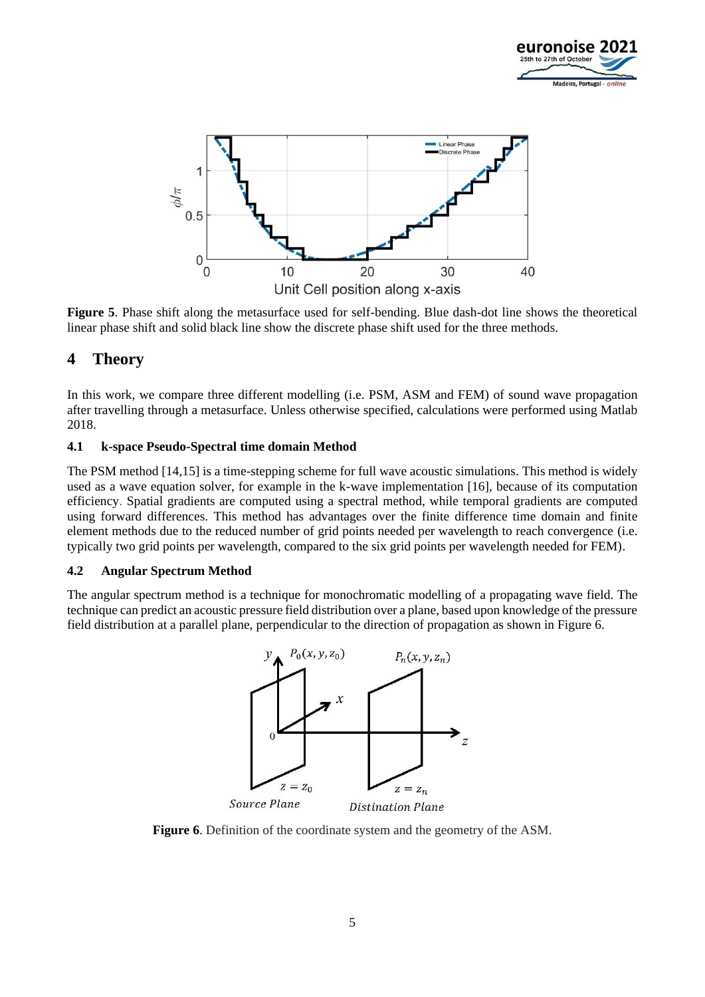



**Figure 5**. Phase shift along the metasurface used for self-bending. Blue dash-dot line shows the theoretical linear phase shift and solid black line show the discrete phase shift used for the three methods.

# **4 Theory**

In this work, we compare three different modelling (i.e. PSM, ASM and FEM) of sound wave propagation after travelling through a metasurface. Unless otherwise specified, calculations were performed using Matlab 2018.

### **4.1 k-space Pseudo-Spectral time domain Method**

The PSM method [14,15] is a time-stepping scheme for full wave acoustic simulations. This method is widely used as a wave equation solver, for example in the k-wave implementation [16], because of its computation efficiency. Spatial gradients are computed using a spectral method, while temporal gradients are computed using forward differences. This method has advantages over the finite difference time domain and finite element methods due to the reduced number of grid points needed per wavelength to reach convergence (i.e. typically two grid points per wavelength, compared to the six grid points per wavelength needed for FEM).

#### **4.2 Angular Spectrum Method**

The angular spectrum method is a technique for monochromatic modelling of a propagating wave field. The technique can predict an acoustic pressure field distribution over a plane, based upon knowledge of the pressure field distribution at a parallel plane, perpendicular to the direction of propagation as shown in Figure 6.



**Figure 6.** Definition of the coordinate system and the geometry of the ASM.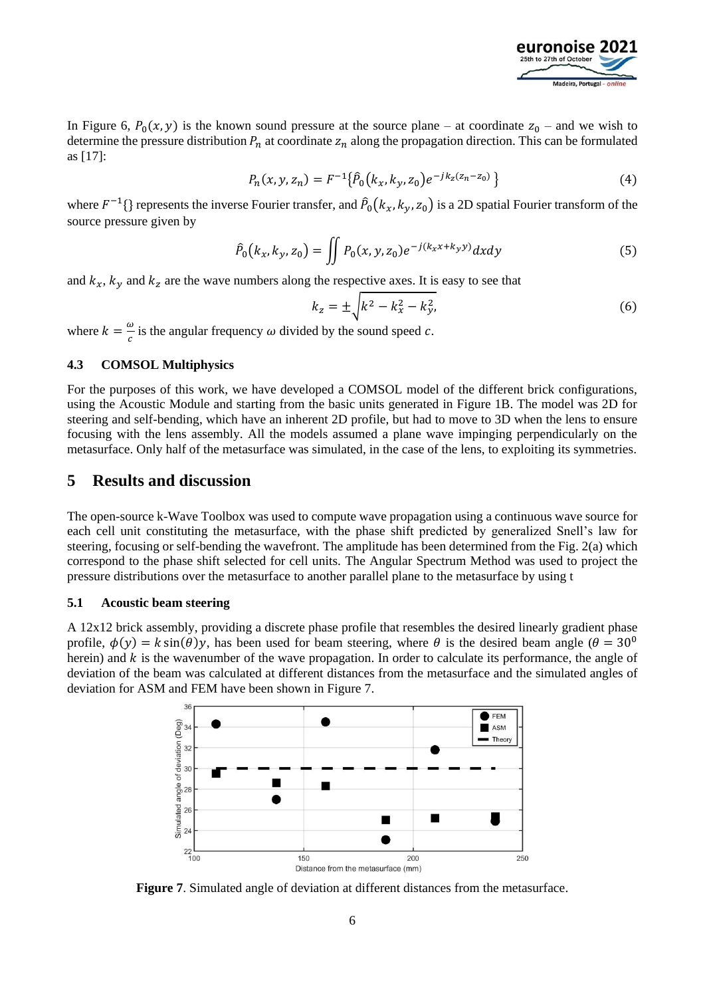

In Figure 6,  $P_0(x, y)$  is the known sound pressure at the source plane – at coordinate  $z_0$  – and we wish to determine the pressure distribution  $P_n$  at coordinate  $z_n$  along the propagation direction. This can be formulated as [17]:

$$
P_n(x, y, z_n) = F^{-1}\{\hat{P}_0(k_x, k_y, z_0)e^{-jk_z(z_n - z_0)}\}
$$
\n(4)

where  $F^{-1}$ {} represents the inverse Fourier transfer, and  $\hat{P}_0(k_x, k_y, z_0)$  is a 2D spatial Fourier transform of the source pressure given by

$$
\hat{P}_0(k_x, k_y, z_0) = \iint P_0(x, y, z_0) e^{-j(k_x x + k_y y)} dx dy
$$
\n(5)

and  $k_x$ ,  $k_y$  and  $k_z$  are the wave numbers along the respective axes. It is easy to see that

$$
k_z = \pm \sqrt{k^2 - k_x^2 - k_y^2},
$$
\t(6)

where  $k = \frac{\omega}{a}$  $\frac{w}{c}$  is the angular frequency  $\omega$  divided by the sound speed  $c$ .

#### **4.3 COMSOL Multiphysics**

For the purposes of this work, we have developed a COMSOL model of the different brick configurations, using the Acoustic Module and starting from the basic units generated in Figure 1B. The model was 2D for steering and self-bending, which have an inherent 2D profile, but had to move to 3D when the lens to ensure focusing with the lens assembly. All the models assumed a plane wave impinging perpendicularly on the metasurface. Only half of the metasurface was simulated, in the case of the lens, to exploiting its symmetries.

## **5 Results and discussion**

The open-source k-Wave Toolbox was used to compute wave propagation using a continuous wave source for each cell unit constituting the metasurface, with the phase shift predicted by generalized Snell's law for steering, focusing or self-bending the wavefront. The amplitude has been determined from the Fig. 2(a) which correspond to the phase shift selected for cell units. The Angular Spectrum Method was used to project the pressure distributions over the metasurface to another parallel plane to the metasurface by using t

#### **5.1 Acoustic beam steering**

A 12x12 brick assembly, providing a discrete phase profile that resembles the desired linearly gradient phase profile,  $\phi(y) = k \sin(\theta)y$ , has been used for beam steering, where  $\theta$  is the desired beam angle ( $\theta = 30^{\circ}$ ) herein) and  $k$  is the wavenumber of the wave propagation. In order to calculate its performance, the angle of deviation of the beam was calculated at different distances from the metasurface and the simulated angles of deviation for ASM and FEM have been shown in Figure 7.



**Figure 7**. Simulated angle of deviation at different distances from the metasurface.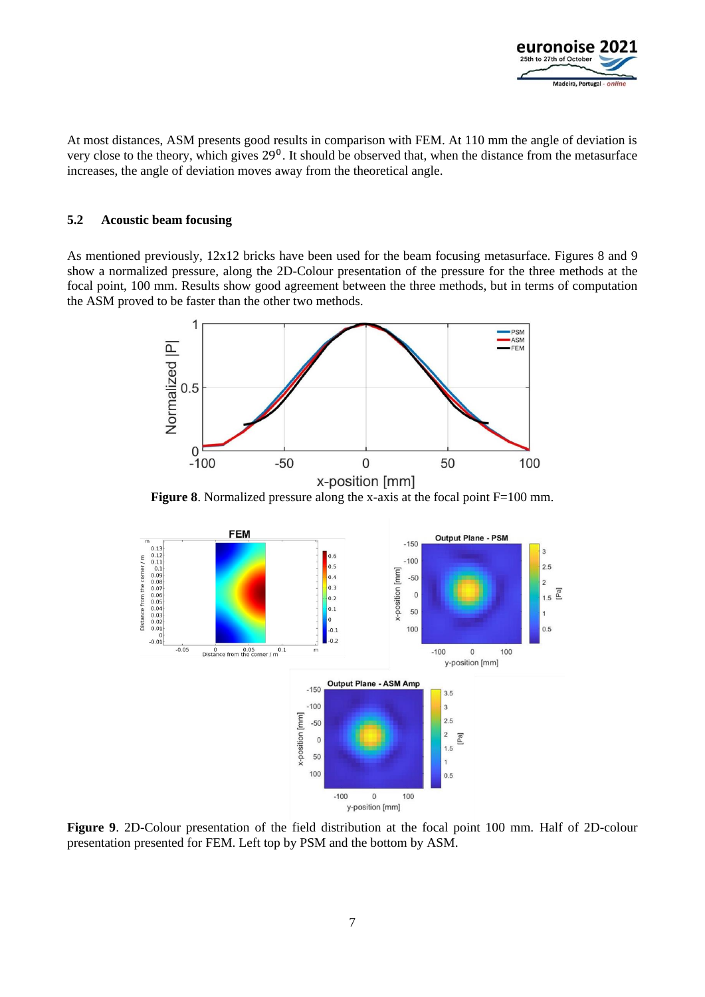

At most distances, ASM presents good results in comparison with FEM. At 110 mm the angle of deviation is very close to the theory, which gives 29<sup>0</sup>. It should be observed that, when the distance from the metasurface increases, the angle of deviation moves away from the theoretical angle.

#### **5.2 Acoustic beam focusing**

As mentioned previously, 12x12 bricks have been used for the beam focusing metasurface. Figures 8 and 9 show a normalized pressure, along the 2D-Colour presentation of the pressure for the three methods at the focal point, 100 mm. Results show good agreement between the three methods, but in terms of computation the ASM proved to be faster than the other two methods.



**Figure 8**. Normalized pressure along the x-axis at the focal point F=100 mm.



**Figure 9**. 2D-Colour presentation of the field distribution at the focal point 100 mm. Half of 2D-colour presentation presented for FEM. Left top by PSM and the bottom by ASM.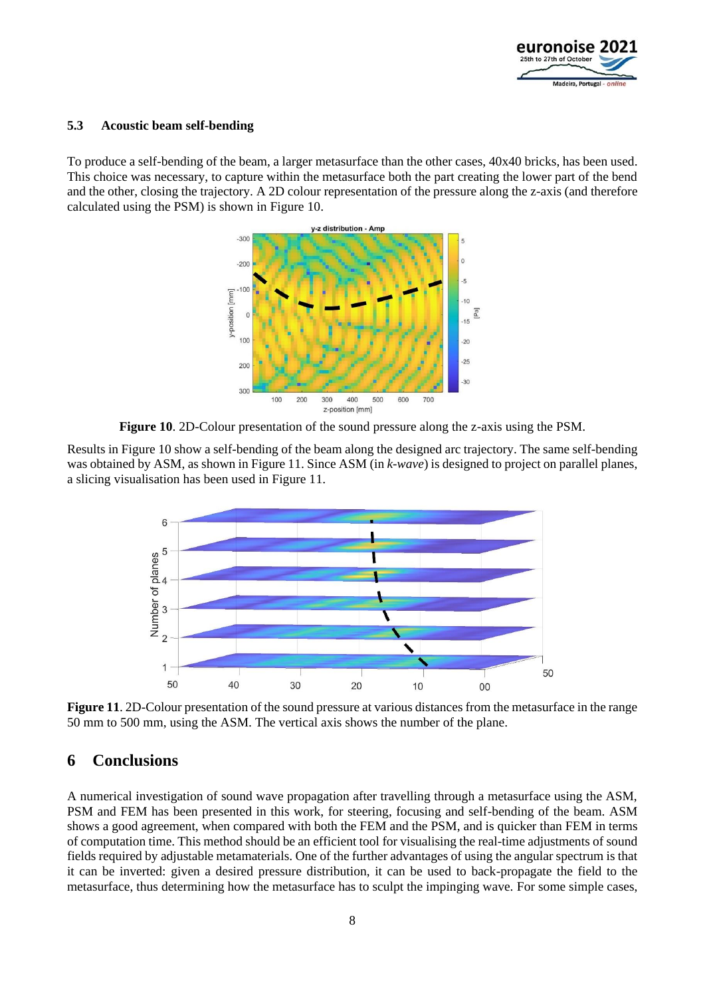

#### **5.3 Acoustic beam self-bending**

To produce a self-bending of the beam, a larger metasurface than the other cases, 40x40 bricks, has been used. This choice was necessary, to capture within the metasurface both the part creating the lower part of the bend and the other, closing the trajectory. A 2D colour representation of the pressure along the z-axis (and therefore calculated using the PSM) is shown in Figure 10.



**Figure 10**. 2D-Colour presentation of the sound pressure along the z-axis using the PSM.

Results in Figure 10 show a self-bending of the beam along the designed arc trajectory. The same self-bending was obtained by ASM, as shown in Figure 11. Since ASM (in *k-wave*) is designed to project on parallel planes, a slicing visualisation has been used in Figure 11.



**Figure 11**. 2D-Colour presentation of the sound pressure at various distances from the metasurface in the range 50 mm to 500 mm, using the ASM. The vertical axis shows the number of the plane.

# **6 Conclusions**

A numerical investigation of sound wave propagation after travelling through a metasurface using the ASM, PSM and FEM has been presented in this work, for steering, focusing and self-bending of the beam. ASM shows a good agreement, when compared with both the FEM and the PSM, and is quicker than FEM in terms of computation time. This method should be an efficient tool for visualising the real-time adjustments of sound fields required by adjustable metamaterials. One of the further advantages of using the angular spectrum is that it can be inverted: given a desired pressure distribution, it can be used to back-propagate the field to the metasurface, thus determining how the metasurface has to sculpt the impinging wave. For some simple cases,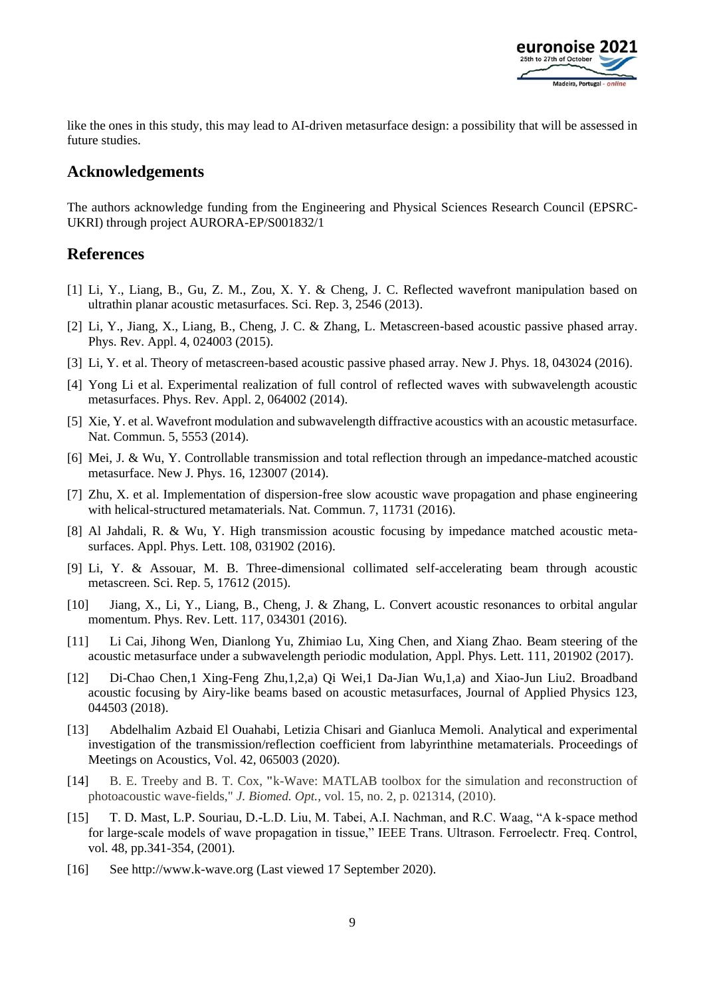

like the ones in this study, this may lead to AI-driven metasurface design: a possibility that will be assessed in future studies.

# **Acknowledgements**

The authors acknowledge funding from the Engineering and Physical Sciences Research Council (EPSRC-UKRI) through project AURORA-EP/S001832/1

## **References**

- [1] Li, Y., Liang, B., Gu, Z. M., Zou, X. Y. & Cheng, J. C. Reflected wavefront manipulation based on ultrathin planar acoustic metasurfaces. Sci. Rep. 3, 2546 (2013).
- [2] Li, Y., Jiang, X., Liang, B., Cheng, J. C. & Zhang, L. Metascreen-based acoustic passive phased array. Phys. Rev. Appl. 4, 024003 (2015).
- [3] Li, Y. et al. Theory of metascreen-based acoustic passive phased array. New J. Phys. 18, 043024 (2016).
- [4] Yong Li et al. Experimental realization of full control of reflected waves with subwavelength acoustic metasurfaces. Phys. Rev. Appl. 2, 064002 (2014).
- [5] Xie, Y. et al. Wavefront modulation and subwavelength diffractive acoustics with an acoustic metasurface. Nat. Commun. 5, 5553 (2014).
- [6] Mei, J. & Wu, Y. Controllable transmission and total reflection through an impedance-matched acoustic metasurface. New J. Phys. 16, 123007 (2014).
- [7] Zhu, X. et al. Implementation of dispersion-free slow acoustic wave propagation and phase engineering with helical-structured metamaterials. Nat. Commun. 7, 11731 (2016).
- [8] Al Jahdali, R. & Wu, Y. High transmission acoustic focusing by impedance matched acoustic metasurfaces. Appl. Phys. Lett. 108, 031902 (2016).
- [9] Li, Y. & Assouar, M. B. Three-dimensional collimated self-accelerating beam through acoustic metascreen. Sci. Rep. 5, 17612 (2015).
- [10] Jiang, X., Li, Y., Liang, B., Cheng, J. & Zhang, L. Convert acoustic resonances to orbital angular momentum. Phys. Rev. Lett. 117, 034301 (2016).
- [11] Li Cai, Jihong Wen, Dianlong Yu, Zhimiao Lu, Xing Chen, and Xiang Zhao. Beam steering of the acoustic metasurface under a subwavelength periodic modulation, Appl. Phys. Lett. 111, 201902 (2017).
- [12] Di-Chao Chen,1 Xing-Feng Zhu,1,2,a) Qi Wei,1 Da-Jian Wu,1,a) and Xiao-Jun Liu2. Broadband acoustic focusing by Airy-like beams based on acoustic metasurfaces, Journal of Applied Physics 123, 044503 (2018).
- [13] Abdelhalim Azbaid El Ouahabi, Letizia Chisari and Gianluca Memoli. Analytical and experimental investigation of the transmission/reflection coefficient from labyrinthine metamaterials. Proceedings of Meetings on Acoustics, Vol. 42, 065003 (2020).
- [14] B. E. Treeby and B. T. Cox, **"**k-Wave: MATLAB toolbox for the simulation and reconstruction of photoacoustic wave-fields," *J. Biomed. Opt.,* vol. 15, no. 2, p. 021314, (2010).
- [15] T. D. Mast, L.P. Souriau, D.-L.D. Liu, M. Tabei, A.I. Nachman, and R.C. Waag, "A k-space method for large-scale models of wave propagation in tissue," IEEE Trans. Ultrason. Ferroelectr. Freq. Control, vol. 48, pp.341-354, (2001).
- [16] See http://www.k-wave.org (Last viewed 17 September 2020).